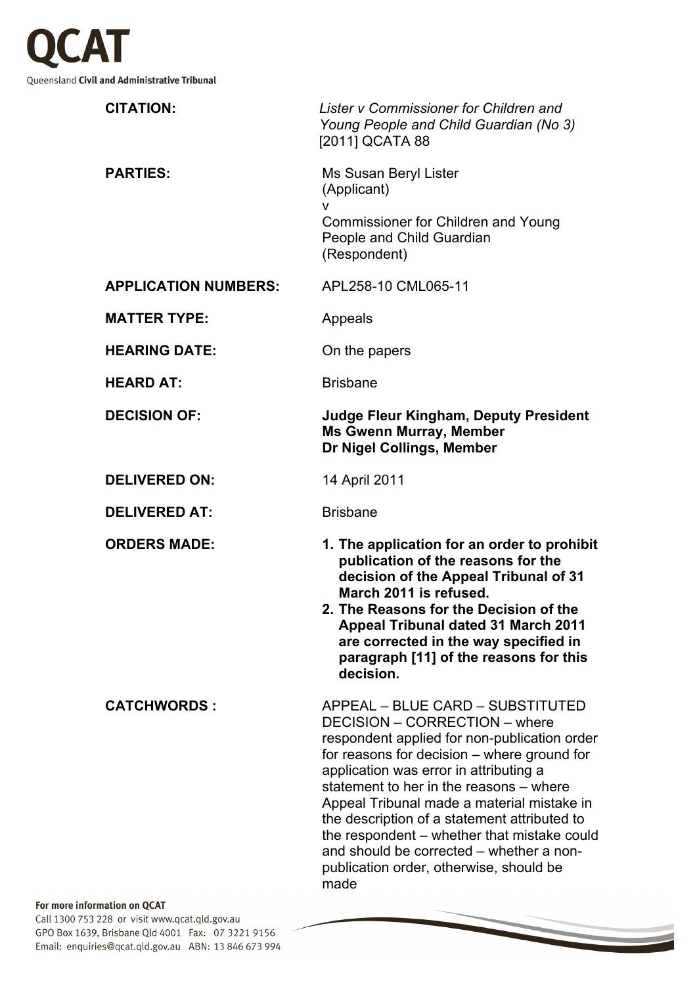

| <b>CITATION:</b>            | Lister v Commissioner for Children and<br>Young People and Child Guardian (No 3)<br>[2011] QCATA 88                                                                                                                                                                                                                                                                                                                                                                                               |
|-----------------------------|---------------------------------------------------------------------------------------------------------------------------------------------------------------------------------------------------------------------------------------------------------------------------------------------------------------------------------------------------------------------------------------------------------------------------------------------------------------------------------------------------|
| <b>PARTIES:</b>             | Ms Susan Beryl Lister<br>(Applicant)<br>۷<br><b>Commissioner for Children and Young</b>                                                                                                                                                                                                                                                                                                                                                                                                           |
|                             | People and Child Guardian<br>(Respondent)                                                                                                                                                                                                                                                                                                                                                                                                                                                         |
| <b>APPLICATION NUMBERS:</b> | APL258-10 CML065-11                                                                                                                                                                                                                                                                                                                                                                                                                                                                               |
| <b>MATTER TYPE:</b>         | Appeals                                                                                                                                                                                                                                                                                                                                                                                                                                                                                           |
| <b>HEARING DATE:</b>        | On the papers                                                                                                                                                                                                                                                                                                                                                                                                                                                                                     |
| <b>HEARD AT:</b>            | <b>Brisbane</b>                                                                                                                                                                                                                                                                                                                                                                                                                                                                                   |
| <b>DECISION OF:</b>         | <b>Judge Fleur Kingham, Deputy President</b><br><b>Ms Gwenn Murray, Member</b><br>Dr Nigel Collings, Member                                                                                                                                                                                                                                                                                                                                                                                       |
| <b>DELIVERED ON:</b>        | 14 April 2011                                                                                                                                                                                                                                                                                                                                                                                                                                                                                     |
| <b>DELIVERED AT:</b>        | <b>Brisbane</b>                                                                                                                                                                                                                                                                                                                                                                                                                                                                                   |
| <b>ORDERS MADE:</b>         | 1. The application for an order to prohibit<br>publication of the reasons for the<br>decision of the Appeal Tribunal of 31<br>March 2011 is refused.<br>2. The Reasons for the Decision of the<br><b>Appeal Tribunal dated 31 March 2011</b><br>are corrected in the way specified in<br>paragraph [11] of the reasons for this<br>decision.                                                                                                                                                      |
| <b>CATCHWORDS:</b>          | APPEAL - BLUE CARD - SUBSTITUTED<br>DECISION - CORRECTION - where<br>respondent applied for non-publication order<br>for reasons for decision – where ground for<br>application was error in attributing a<br>statement to her in the reasons – where<br>Appeal Tribunal made a material mistake in<br>the description of a statement attributed to<br>the respondent – whether that mistake could<br>and should be corrected – whether a non-<br>publication order, otherwise, should be<br>made |

 $\overline{\phantom{a}}$ 

## For more information on QCAT

Call 1300 753 228 or visit www.qcat.qld.gov.au GPO Box 1639, Brisbane Qld 4001 Fax: 07 3221 9156 Email: enquiries@qcat.qld.gov.au ABN: 13 846 673 994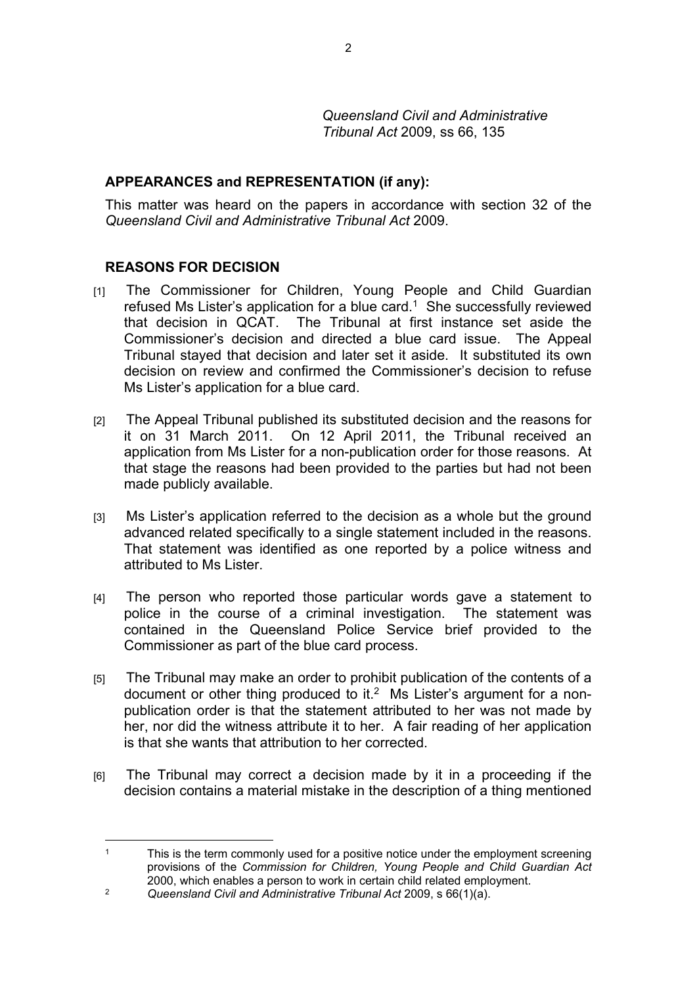*Queensland Civil and Administrative Tribunal Act* 2009, ss 66, 135

## **APPEARANCES and REPRESENTATION (if any):**

This matter was heard on the papers in accordance with section 32 of the *Queensland Civil and Administrative Tribunal Act* 2009.

## **REASONS FOR DECISION**

- [1] The Commissioner for Children, Young People and Child Guardian refused Ms Lister's application for a blue card.<sup>1</sup> She successfully reviewed that decision in QCAT. The Tribunal at first instance set aside the Commissioner's decision and directed a blue card issue. The Appeal Tribunal stayed that decision and later set it aside. It substituted its own decision on review and confirmed the Commissioner's decision to refuse Ms Lister's application for a blue card.
- [2] The Appeal Tribunal published its substituted decision and the reasons for it on 31 March 2011. On 12 April 2011, the Tribunal received an application from Ms Lister for a non-publication order for those reasons. At that stage the reasons had been provided to the parties but had not been made publicly available.
- [3] Ms Lister's application referred to the decision as a whole but the ground advanced related specifically to a single statement included in the reasons. That statement was identified as one reported by a police witness and attributed to Ms Lister.
- [4] The person who reported those particular words gave a statement to police in the course of a criminal investigation. The statement was contained in the Queensland Police Service brief provided to the Commissioner as part of the blue card process.
- [5] The Tribunal may make an order to prohibit publication of the contents of a document or other thing produced to it.<sup>2</sup> Ms Lister's argument for a nonpublication order is that the statement attributed to her was not made by her, nor did the witness attribute it to her. A fair reading of her application is that she wants that attribution to her corrected.
- [6] The Tribunal may correct a decision made by it in a proceeding if the decision contains a material mistake in the description of a thing mentioned

<sup>1</sup> This is the term commonly used for a positive notice under the employment screening provisions of the *Commission for Children, Young People and Child Guardian Act*  2000, which enables a person to work in certain child related employment.

<sup>2</sup> *Queensland Civil and Administrative Tribunal Act* 2009, s 66(1)(a).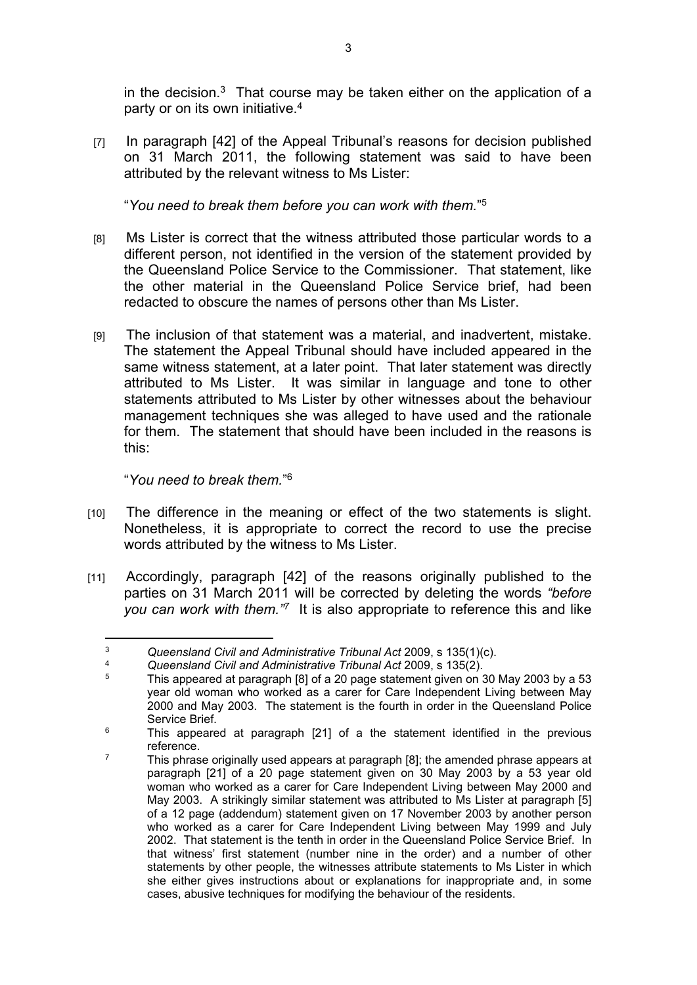in the decision. $3$  That course may be taken either on the application of a party or on its own initiative.<sup>4</sup>

[7] In paragraph [42] of the Appeal Tribunal's reasons for decision published on 31 March 2011, the following statement was said to have been attributed by the relevant witness to Ms Lister:

"*You need to break them before you can work with them.*" 5

- [8] Ms Lister is correct that the witness attributed those particular words to a different person, not identified in the version of the statement provided by the Queensland Police Service to the Commissioner. That statement, like the other material in the Queensland Police Service brief, had been redacted to obscure the names of persons other than Ms Lister.
- [9] The inclusion of that statement was a material, and inadvertent, mistake. The statement the Appeal Tribunal should have included appeared in the same witness statement, at a later point. That later statement was directly attributed to Ms Lister. It was similar in language and tone to other statements attributed to Ms Lister by other witnesses about the behaviour management techniques she was alleged to have used and the rationale for them. The statement that should have been included in the reasons is this:

"*You need to break them.*" 6

- [10] The difference in the meaning or effect of the two statements is slight. Nonetheless, it is appropriate to correct the record to use the precise words attributed by the witness to Ms Lister.
- [11] Accordingly, paragraph [42] of the reasons originally published to the parties on 31 March 2011 will be corrected by deleting the words *"before you can work with them."<sup>7</sup>* It is also appropriate to reference this and like

<sup>&</sup>lt;sup>3</sup> Queensland Civil and Administrative Tribunal Act 2009, s 135(1)(c).

<sup>4</sup> *Queensland Civil and Administrative Tribunal Act* 2009, s 135(2).

<sup>5</sup> This appeared at paragraph [8] of a 20 page statement given on 30 May 2003 by a 53 year old woman who worked as a carer for Care Independent Living between May 2000 and May 2003. The statement is the fourth in order in the Queensland Police Service Brief.

<sup>6</sup> This appeared at paragraph [21] of a the statement identified in the previous reference.

 $7$  This phrase originally used appears at paragraph [8]; the amended phrase appears at paragraph [21] of a 20 page statement given on 30 May 2003 by a 53 year old woman who worked as a carer for Care Independent Living between May 2000 and May 2003. A strikingly similar statement was attributed to Ms Lister at paragraph [5] of a 12 page (addendum) statement given on 17 November 2003 by another person who worked as a carer for Care Independent Living between May 1999 and July 2002. That statement is the tenth in order in the Queensland Police Service Brief. In that witness' first statement (number nine in the order) and a number of other statements by other people, the witnesses attribute statements to Ms Lister in which she either gives instructions about or explanations for inappropriate and, in some cases, abusive techniques for modifying the behaviour of the residents.